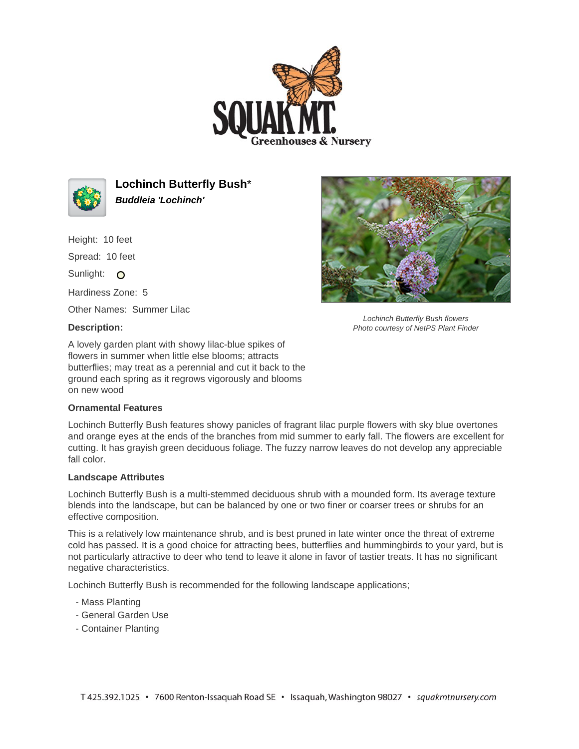



**Lochinch Butterfly Bush**\* **Buddleia 'Lochinch'**

Height: 10 feet Spread: 10 feet Sunlight: O

Hardiness Zone: 5

Other Names: Summer Lilac

## **Description:**

A lovely garden plant with showy lilac-blue spikes of flowers in summer when little else blooms; attracts butterflies; may treat as a perennial and cut it back to the ground each spring as it regrows vigorously and blooms on new wood

## **Ornamental Features**

Lochinch Butterfly Bush features showy panicles of fragrant lilac purple flowers with sky blue overtones and orange eyes at the ends of the branches from mid summer to early fall. The flowers are excellent for cutting. It has grayish green deciduous foliage. The fuzzy narrow leaves do not develop any appreciable fall color.

## **Landscape Attributes**

Lochinch Butterfly Bush is a multi-stemmed deciduous shrub with a mounded form. Its average texture blends into the landscape, but can be balanced by one or two finer or coarser trees or shrubs for an effective composition.

This is a relatively low maintenance shrub, and is best pruned in late winter once the threat of extreme cold has passed. It is a good choice for attracting bees, butterflies and hummingbirds to your yard, but is not particularly attractive to deer who tend to leave it alone in favor of tastier treats. It has no significant negative characteristics.

Lochinch Butterfly Bush is recommended for the following landscape applications;

- Mass Planting
- General Garden Use
- Container Planting



Lochinch Butterfly Bush flowers Photo courtesy of NetPS Plant Finder